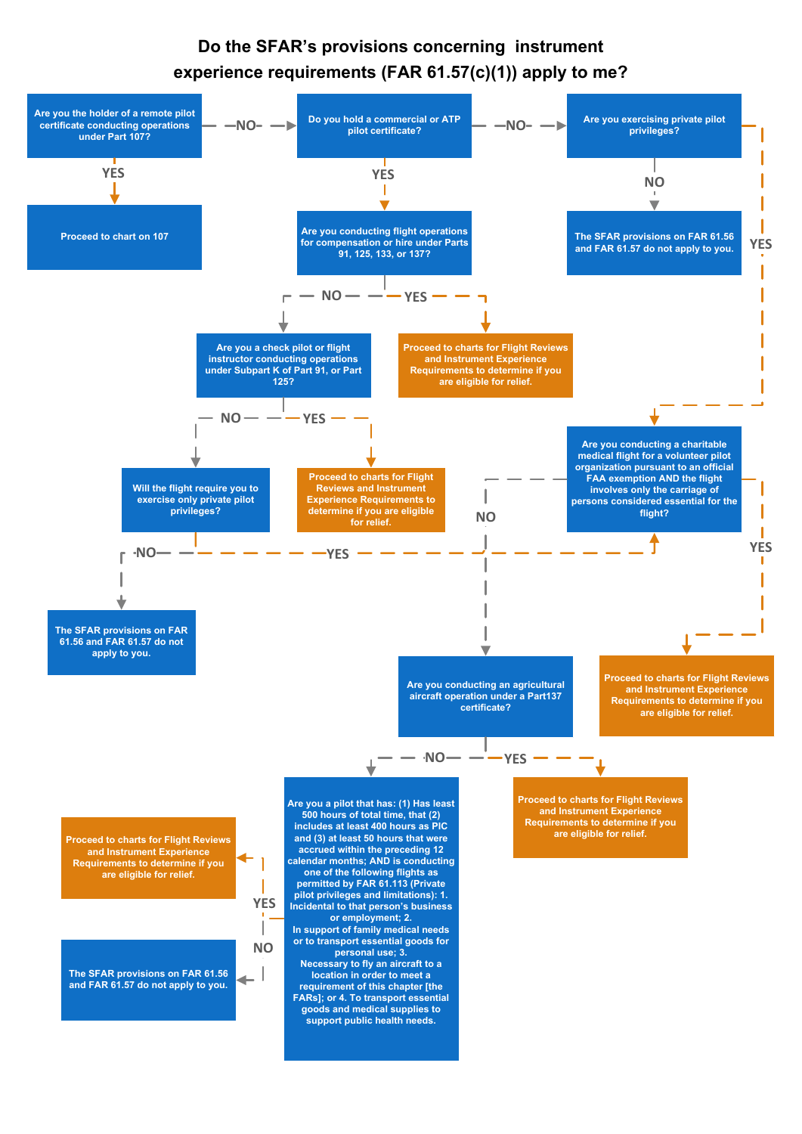## **Do the SFAR's provisions concerning instrument experience requirements (FAR 61.57(c)(1)) apply to me?**



**calendar months; AND is conducting one of the following flights as permitted by FAR 61.113 (Private pilot privileges and limitations): 1. Incidental to that person's business or employment; 2. In support of family medical needs or to transport essential goods for personal use; 3. Necessary to fly an aircraft to a location in order to meet a requirement of this chapter [the FARs]; or 4. To transport essential goods and medical supplies to support public health needs.**

**Requirements to determine if you are eligible for relief.**

**The SFAR provisions on FAR 61.56**   $\leftarrow$ **and FAR 61.57 do not apply to you.**

**NO**

**YES**